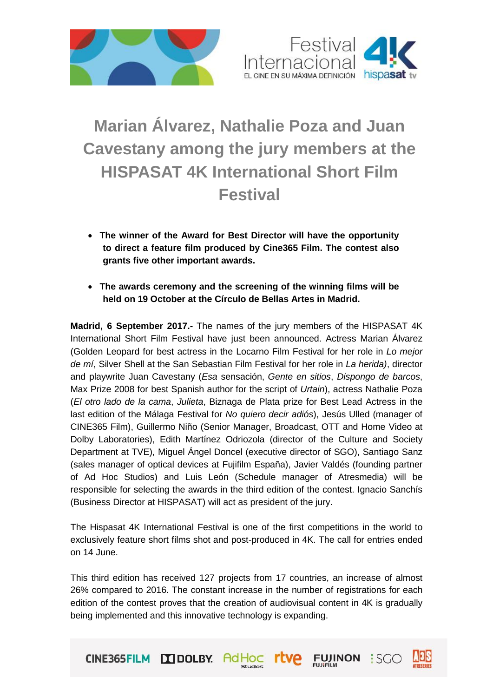



## **Marian Álvarez, Nathalie Poza and Juan Cavestany among the jury members at the HISPASAT 4K International Short Film Festival**

- **The winner of the Award for Best Director will have the opportunity to direct a feature film produced by Cine365 Film. The contest also grants five other important awards.**
- **The awards ceremony and the screening of the winning films will be held on 19 October at the Círculo de Bellas Artes in Madrid.**

**Madrid, 6 September 2017.-** The names of the jury members of the HISPASAT 4K International Short Film Festival have just been announced. Actress Marian Álvarez (Golden Leopard for best actress in the Locarno Film Festival for her role in *Lo mejor de mí*, Silver Shell at the San Sebastian Film Festival for her role in *La herida)*, director and playwrite Juan Cavestany (*Esa* sensación, *Gente en sitios*, *Dispongo de barcos*, Max Prize 2008 for best Spanish author for the script of *Urtain*), actress Nathalie Poza (*El otro lado de la cama*, *Julieta*, Biznaga de Plata prize for Best Lead Actress in the last edition of the Málaga Festival for *No quiero decir adiós*), Jesús Ulled (manager of CINE365 Film), Guillermo Niño (Senior Manager, Broadcast, OTT and Home Video at Dolby Laboratories), Edith Martínez Odriozola (director of the Culture and Society Department at TVE), Miguel Ángel Doncel (executive director of SGO), Santiago Sanz (sales manager of optical devices at Fujifilm España), Javier Valdés (founding partner of Ad Hoc Studios) and Luis León (Schedule manager of Atresmedia) will be responsible for selecting the awards in the third edition of the contest. Ignacio Sanchís (Business Director at HISPASAT) will act as president of the jury.

The Hispasat 4K International Festival is one of the first competitions in the world to exclusively feature short films shot and post-produced in 4K. The call for entries ended on 14 June.

This third edition has received 127 projects from 17 countries, an increase of almost 26% compared to 2016. The constant increase in the number of registrations for each edition of the contest proves that the creation of audiovisual content in 4K is gradually being implemented and this innovative technology is expanding.

FUJINON : SGO

CINE365FILM DODLBY. AdHOC